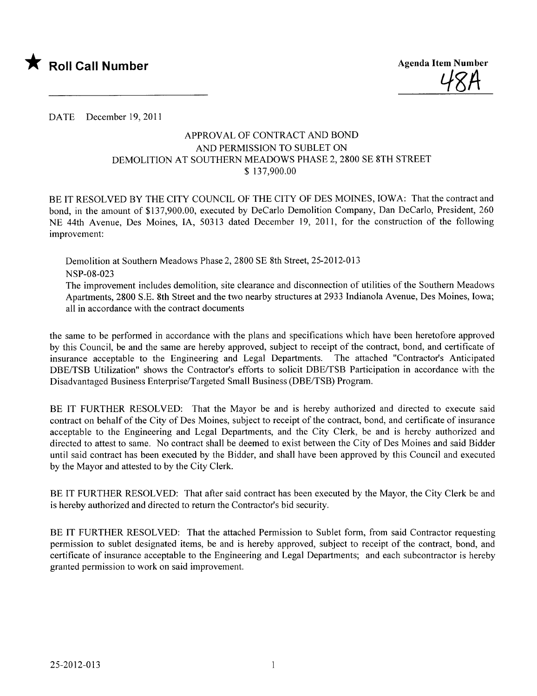

<u>487</u>

DATE December 19,2011

## APPROV AL OF CONTRACT AND BOND AND PERMISSION TO SUBLET ON DEMOLITION AT SOUTHERN MEADOWS PHASE 2, 2800 SE 8TH STREET \$ 137,900.00

BE IT RESOLVED BY THE CITY COUNCIL OF THE CITY OF DES MOINES, IOWA: That the contract and bond, in the amount of \$137,900.00, executed by DeCarlo Demolition Company, Dan DeCarlo, President, 260 NE 44th Avenue, Des Moines, lA, 50313 dated December 19, 2011, for the construction of the following improvement:

Demolition at Southern Meadows Phase 2, 2800 SE 8th Street, 25-2012-013 NSP-08-023 The improvement includes demolition, site clearance and disconnection of utilities of the Southern Meadows Apartments, 2800 S.E. 8th Street and the two nearby structures at 2933 Indianola Avenue, Des Moines, Iowa;

all in accordance with the contract documents

the same to be performed in accordance with the plans and specifications which have been heretofore approved by this Council, be and the same are hereby approved, subject to receipt of the contract, bond, and certificate of insurance acceptable to the Engineering and Legal Departments. The attached "Contractor's Anticipated DBE/TSB Utilization" shows the Contractor's efforts to solicit DBE/TSB Participation in accordance with the Disadvantaged Business Enterprise/Targeted Small Business (DBE/TSB) Program.

BE IT FURTHER RESOLVED: That the Mayor be and is hereby authorized and directed to execute said contract on behalf of the City of Des Moines, subject to receipt of the contract, bond, and certificate of insurance acceptable to the Engineering and Legal Departments, and the City Clerk, be and is hereby authorized and directed to attest to same. No contract shall be deemed to exist between the City of Des Moines and said Bidder until said contract has been executed by the Bidder, and shall have been approved by this Council and executed by the Mayor and attested to by the City Clerk.

BE IT FURTHER RESOLVED: That after said contract has been executed by the Mayor, the City Clerk be and is hereby authorized and directed to return the Contractor's bid security.

BE IT FURTHER RESOLVED: That the attached Permission to Sublet form, from said Contractor requesting permission to sublet designated items, be and is hereby approved, subject to receipt of the contract, bond, and certificate of insurance acceptable to the Engineering and Legal Departments; and each subcontractor is hereby granted permission to work on said improvement.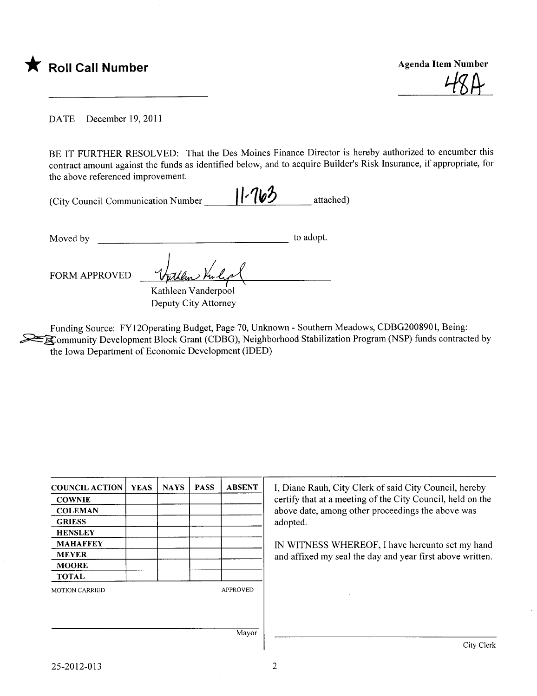

<u>TOH</u>

DATE December 19,2011

BE IT FURTHER RESOLVED: That the Des Moines Finance Director is hereby authorized to encumber this contract amount against the funds as identified below, and to acquire Builder's Risk Insurance, if appropriate, for the above referenced improvement.

| (City Council Communication Number | $11 - 763$ | attached) |
|------------------------------------|------------|-----------|
|                                    |            |           |

Moved by to adopt.

Moved by<br>FORM APPROVED <u>Yullar Vanderpool</u> Kathleen Vanderpool Deputy City Attorney

Funding Source: FY120perating Budget, Page 70, Unknown - Southern Meadows, CDBG2008901, Being:  $=$   $\mathbb{R}$  ommunity Development Block Grant (CDBG), Neighborhood Stabilization Program (NSP) funds contracted by the Iowa Department of Economic Development (IDED)

| <b>COUNCIL ACTION</b> | <b>YEAS</b> | <b>NAYS</b> | <b>PASS</b> | <b>ABSENT</b>   |
|-----------------------|-------------|-------------|-------------|-----------------|
| <b>COWNIE</b>         |             |             |             |                 |
| <b>COLEMAN</b>        |             |             |             |                 |
| <b>GRIESS</b>         |             |             |             |                 |
| <b>HENSLEY</b>        |             |             |             |                 |
| MAHAFFEY              |             |             |             |                 |
| <b>MEYER</b>          |             |             |             |                 |
| <b>MOORE</b>          |             |             |             |                 |
| <b>TOTAL</b>          |             |             |             |                 |
| <b>MOTION CARRIED</b> |             |             |             | <b>APPROVED</b> |
|                       |             |             |             |                 |
|                       |             |             |             |                 |
|                       |             |             |             | Mayor           |

I, Diane Rauh, City Clerk of said City Council, hereby certify that at a meeting of the City Council, held on the above date, among other proceedings the above was adopted.

IN WITNESS WHEREOF, I have hereunto set my hand and affxed my seal the day and year first above written.